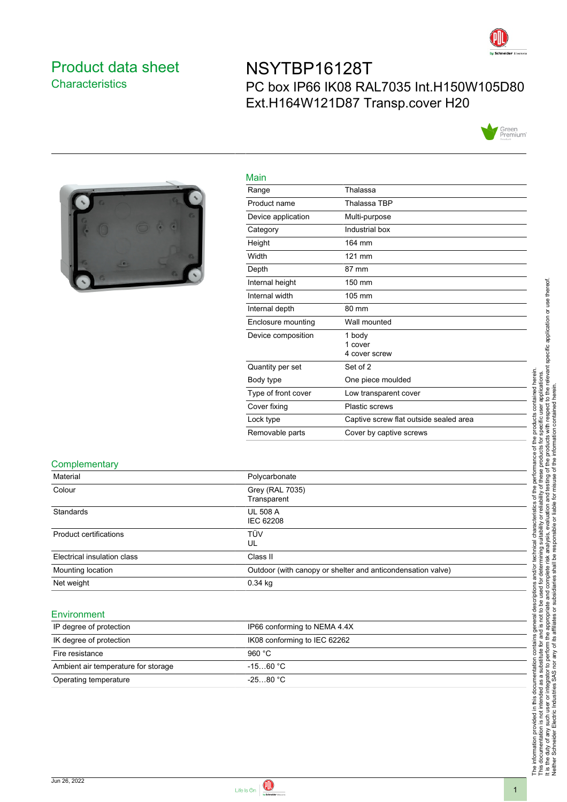

## <span id="page-0-0"></span>Product data sheet **Characteristics**

# NSYTBP16128T PC box IP66 IK08 RAL7035 Int.H150W105D80 Ext.H164W121D87 Transp.cover H20





| Main                |                                        |
|---------------------|----------------------------------------|
| Range               | Thalassa                               |
| Product name        | Thalassa TBP                           |
| Device application  | Multi-purpose                          |
| Category            | Industrial box                         |
| Height              | 164 mm                                 |
| Width               | 121 mm                                 |
| Depth               | 87 mm                                  |
| Internal height     | 150 mm                                 |
| Internal width      | 105 mm                                 |
| Internal depth      | 80 mm                                  |
| Enclosure mounting  | Wall mounted                           |
| Device composition  | 1 body                                 |
|                     | 1 cover<br>4 cover screw               |
| Quantity per set    | Set of 2                               |
| Body type           | One piece moulded                      |
| Type of front cover | Low transparent cover                  |
| Cover fixing        | <b>Plastic screws</b>                  |
| Lock type           | Captive screw flat outside sealed area |
| Removable parts     | Cover by captive screws                |
|                     |                                        |

#### **Complementary**

| Material                    | Polycarbonate                                               |
|-----------------------------|-------------------------------------------------------------|
| Colour                      | Grey (RAL 7035)<br>Transparent                              |
| Standards                   | <b>UL 508 A</b><br>IEC 62208                                |
| Product certifications      | TÜV<br>UL                                                   |
| Electrical insulation class | Class II                                                    |
| Mounting location           | Outdoor (with canopy or shelter and anticondensation valve) |
| Net weight                  | $0.34$ kg                                                   |

#### **Environment**

| IP degree of protection             | IP66 conforming to NEMA 4.4X |
|-------------------------------------|------------------------------|
| IK degree of protection             | IK08 conforming to IEC 62262 |
| Fire resistance                     | 960 $°C$                     |
| Ambient air temperature for storage | $-1560 °C$                   |
| Operating temperature               | $-2580 °C$                   |